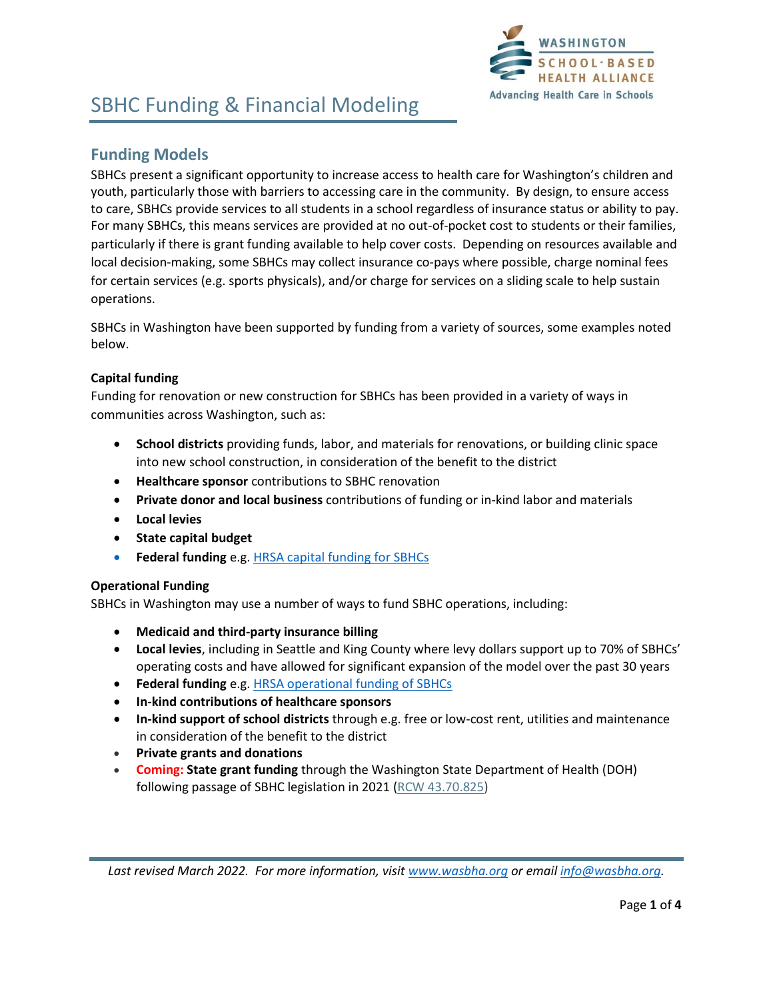

### **Funding Models**

SBHCs present a significant opportunity to increase access to health care for Washington's children and youth, particularly those with barriers to accessing care in the community. By design, to ensure access to care, SBHCs provide services to all students in a school regardless of insurance status or ability to pay. For many SBHCs, this means services are provided at no out-of-pocket cost to students or their families, particularly if there is grant funding available to help cover costs. Depending on resources available and local decision-making, some SBHCs may collect insurance co-pays where possible, charge nominal fees for certain services (e.g. sports physicals), and/or charge for services on a sliding scale to help sustain operations.

SBHCs in Washington have been supported by funding from a variety of sources, some examples noted below.

### **Capital funding**

Funding for renovation or new construction for SBHCs has been provided in a variety of ways in communities across Washington, such as:

- **School districts** providing funds, labor, and materials for renovations, or building clinic space into new school construction, in consideration of the benefit to the district
- **Healthcare sponsor** contributions to SBHC renovation
- **Private donor and local business** contributions of funding or in-kind labor and materials
- **Local levies**
- **State capital budget**
- **Federal funding** e.g[. HRSA capital funding for SBHCs](https://bphc.hrsa.gov/program-opportunities/sbhcc)

### **Operational Funding**

SBHCs in Washington may use a number of ways to fund SBHC operations, including:

- **Medicaid and third-party insurance billing**
- **Local levies**, including in Seattle and King County where levy dollars support up to 70% of SBHCs' operating costs and have allowed for significant expansion of the model over the past 30 years
- **Federal funding** e.g[. HRSA operational funding of SBHCs](https://bphc.hrsa.gov/program-opportunities/school-based-service-expansion)
- **In-kind contributions of healthcare sponsors**
- **In-kind support of school districts** through e.g. free or low-cost rent, utilities and maintenance in consideration of the benefit to the district
- **Private grants and donations**
- **Coming: State grant funding** through the Washington State Department of Health (DOH) following passage of SBHC legislation in 2021 (RCW [43.70.825\)](https://app.leg.wa.gov/RCW/default.aspx?cite=43.70.825#:~:text=RCW%2043.70.825%20School-based%20health%20center%20program%20office.%20%281%29,schools%2C%20with%20a%20focus%20on%20historically%20underserved%20populations.)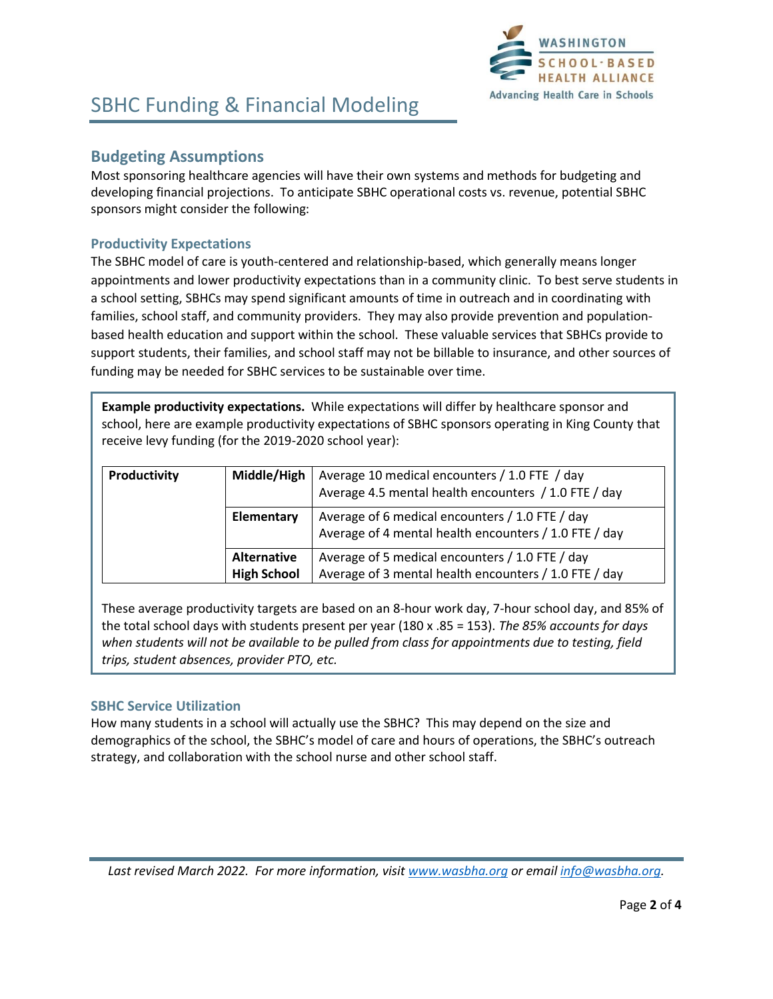

### **Budgeting Assumptions**

Most sponsoring healthcare agencies will have their own systems and methods for budgeting and developing financial projections. To anticipate SBHC operational costs vs. revenue, potential SBHC sponsors might consider the following:

### **Productivity Expectations**

The SBHC model of care is youth-centered and relationship-based, which generally means longer appointments and lower productivity expectations than in a community clinic. To best serve students in a school setting, SBHCs may spend significant amounts of time in outreach and in coordinating with families, school staff, and community providers. They may also provide prevention and populationbased health education and support within the school. These valuable services that SBHCs provide to support students, their families, and school staff may not be billable to insurance, and other sources of funding may be needed for SBHC services to be sustainable over time.

**Example productivity expectations.** While expectations will differ by healthcare sponsor and school, here are example productivity expectations of SBHC sponsors operating in King County that receive levy funding (for the 2019-2020 school year):

| Productivity | Middle/High        | Average 10 medical encounters / 1.0 FTE / day<br>Average 4.5 mental health encounters / 1.0 FTE / day    |
|--------------|--------------------|----------------------------------------------------------------------------------------------------------|
|              | Elementary         | Average of 6 medical encounters / 1.0 FTE / day<br>Average of 4 mental health encounters / 1.0 FTE / day |
|              | Alternative        | Average of 5 medical encounters / 1.0 FTE / day                                                          |
|              | <b>High School</b> | Average of 3 mental health encounters / 1.0 FTE / day                                                    |

These average productivity targets are based on an 8-hour work day, 7-hour school day, and 85% of the total school days with students present per year (180 x .85 = 153). *The 85% accounts for days when students will not be available to be pulled from class for appointments due to testing, field trips, student absences, provider PTO, etc.*

### **SBHC Service Utilization**

How many students in a school will actually use the SBHC? This may depend on the size and demographics of the school, the SBHC's model of care and hours of operations, the SBHC's outreach strategy, and collaboration with the school nurse and other school staff.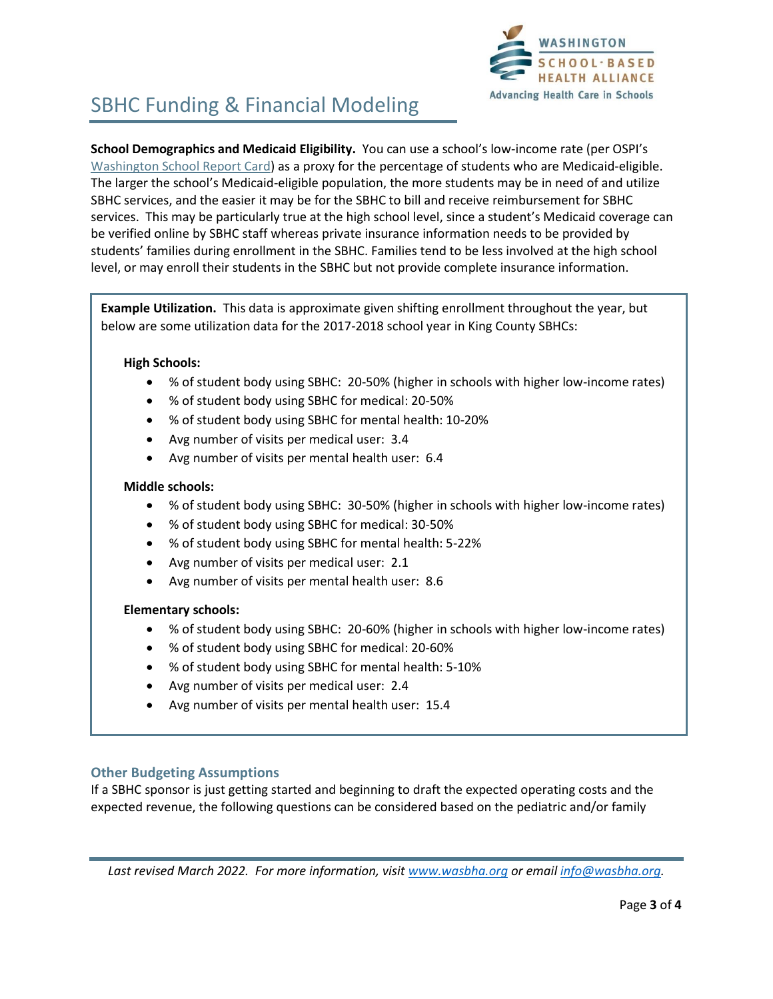

**School Demographics and Medicaid Eligibility.** You can use a school's low-income rate (per OSPI's [Washington School Report Card\)](https://washingtonstatereportcard.ospi.k12.wa.us/) as a proxy for the percentage of students who are Medicaid-eligible. The larger the school's Medicaid-eligible population, the more students may be in need of and utilize SBHC services, and the easier it may be for the SBHC to bill and receive reimbursement for SBHC services. This may be particularly true at the high school level, since a student's Medicaid coverage can be verified online by SBHC staff whereas private insurance information needs to be provided by students' families during enrollment in the SBHC. Families tend to be less involved at the high school level, or may enroll their students in the SBHC but not provide complete insurance information.

**Example Utilization.** This data is approximate given shifting enrollment throughout the year, but below are some utilization data for the 2017-2018 school year in King County SBHCs:

### **High Schools:**

- % of student body using SBHC: 20-50% (higher in schools with higher low-income rates)
- % of student body using SBHC for medical: 20-50%
- % of student body using SBHC for mental health: 10-20%
- Avg number of visits per medical user: 3.4
- Avg number of visits per mental health user: 6.4

#### **Middle schools:**

- % of student body using SBHC: 30-50% (higher in schools with higher low-income rates)
- % of student body using SBHC for medical: 30-50%
- % of student body using SBHC for mental health: 5-22%
- Avg number of visits per medical user: 2.1
- Avg number of visits per mental health user: 8.6

### **Elementary schools:**

- % of student body using SBHC: 20-60% (higher in schools with higher low-income rates)
- % of student body using SBHC for medical: 20-60%
- % of student body using SBHC for mental health: 5-10%
- Avg number of visits per medical user: 2.4
- Avg number of visits per mental health user: 15.4

### **Other Budgeting Assumptions**

If a SBHC sponsor is just getting started and beginning to draft the expected operating costs and the expected revenue, the following questions can be considered based on the pediatric and/or family

*Last revised March 2022. For more information, visit [www.wasbha.org](http://www.wasbha.org/) or email [info@wasbha.org.](mailto:info@wasbha.org)*